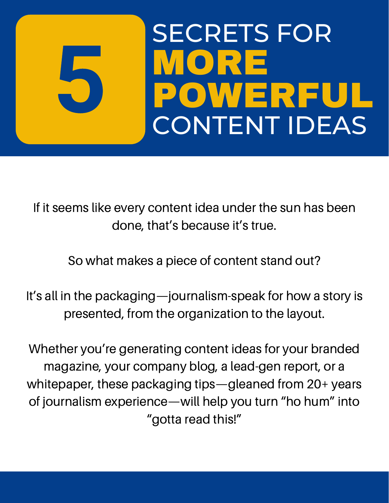

If it seems like every content idea under the sun has been done, that's because it's true.

So what makes a piece of content stand out?

It's all in the packaging—journalism-speak for how a story is presented, from the organization to the layout.

Whether you're generating content ideas for your branded magazine, your company blog, a lead-gen report, or a whitepaper, these packaging tips—gleaned from 20+ years of journalism experience—will help you turn "ho hum" into "gotta read this!"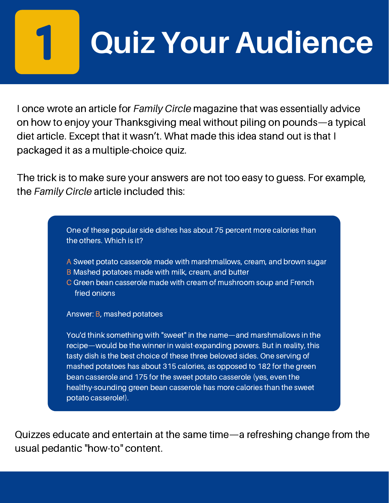## **Quiz Your Audience**

I once wrote an article for *Family Circle* magazine that was essentially advice on how to enjoy your Thanksgiving meal without piling on pounds—a typical diet article. Except that it wasn't. What made this idea stand out is that I packaged it as a multiple-choice quiz.

The trick is to make sure your answers are not too easy to guess. For example, the *Family Circle* article included this:

> One of these popular side dishes has about 75 percent more calories than the others. Which is it?

- A Sweet potato casserole made with marshmallows, cream, and brown sugar
- B Mashed potatoes made with milk, cream, and butter
- C Green bean casserole made with cream of mushroom soup and French fried onions

Answer: B, mashed potatoes

You'd think something with "sweet" in the name—and marshmallows in the recipe—would be the winner in waist-expanding powers. But in reality, this tasty dish is the best choice of these three beloved sides. One serving of mashed potatoes has about 315 calories, as opposed to 182 for the green bean casserole and 175 for the sweet potato casserole (yes, even the healthy-sounding green bean casserole has more calories than the sweet potato casserole!).

Quizzes educate and entertain at the same time—a refreshing change from the usual pedantic "how-to" content.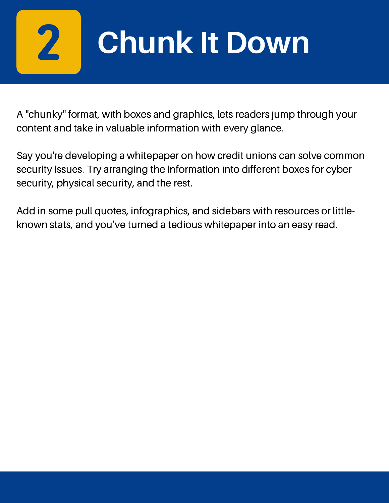

### **Chunk It Down**

A "chunky" format, with boxes and graphics, lets readers jump through your content and take in valuable information with every glance.

Say you're developing a whitepaper on how credit unions can solve common security issues. Try arranging the information into different boxes for cyber security, physical security, and the rest.

Add in some pull quotes, infographics, and sidebars with resources or littleknown stats, and you've turned a tedious whitepaper into an easy read.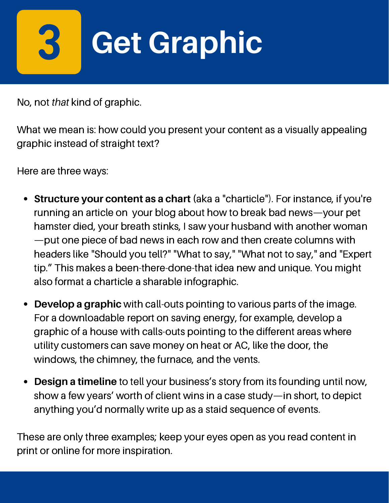# **Get Graphic**

No, not *that* kind of graphic.

What we mean is: how could you present your content as a visually appealing graphic instead of straight text?

Here are three ways:

- **Structure your content as a chart (**aka a "charticle"). For instance, if you're running an article on your blog about how to break bad news—your pet hamster died, your breath stinks, I saw your husband with another woman —put one piece of bad news in each row and then create columns with headers like "Should you tell?" "What to say," "What not to say," and "Expert tip." This makes a been-there-done-that idea new and unique. You might also format a charticle a sharable infographic.
- **Develop a graphic** with call-outs pointing to various parts of the image.  $\bullet$ For a downloadable report on saving energy, for example, develop a graphic of a house with calls-outs pointing to the different areas where utility customers can save money on heat or AC, like the door, the windows, the chimney, the furnace, and the vents.
- **Design a timeline** to tell your business's story from its founding until now, show a few years' worth of client wins in a case study—in short, to depict anything you'd normally write up as a staid sequence of events.

These are only three examples; keep your eyes open as you read content in print or online for more inspiration.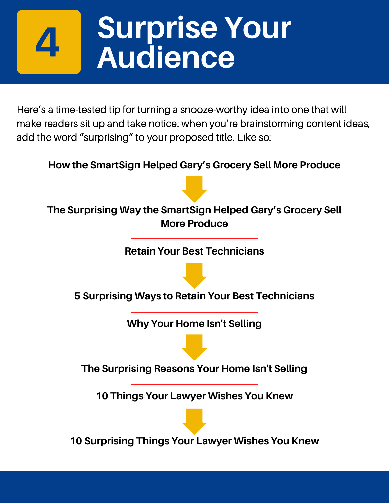#### **Surprise Your Audience**

Here's a time-tested tip for turning a snooze-worthy idea into one that will make readers sit up and take notice: when you're brainstorming content ideas, add the word "surprising" to your proposed title. Like so:

**How the SmartSign Helped Gary's Grocery Sell More Produce**



**Retain Your Best Technicians**



**5 Surprising Ways to Retain Your Best Technicians**

**Why Your Home Isn't Selling**

**The Surprising Reasons Your Home Isn't Selling**

**10 Things Your Lawyer Wishes You Knew**

**10 Surprising Things Your Lawyer Wishes You Knew**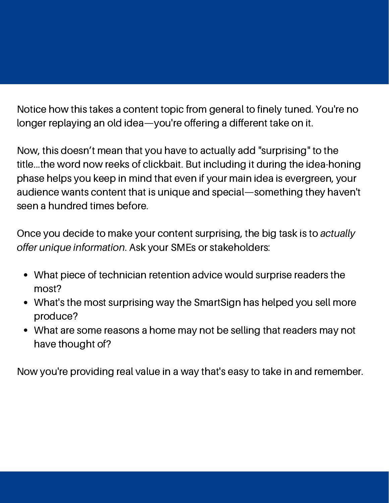Notice how this takes a content topic from general to finely tuned. You're no longer replaying an old idea—you're offering a different take on it.

Now, this doesn't mean that you have to actually add "surprising" to the title...the word now reeks of clickbait. But including it during the idea-honing phase helps you keep in mind that even if your main idea is evergreen, your audience wants content that is unique and special—something they haven't seen a hundred times before.

Once you decide to make your content surprising, the big task is to *actually offer unique information*. Ask your SMEs or stakeholders:

- What piece of technician retention advice would surprise readers the most?
- What's the most surprising way the SmartSign has helped you sell more produce?
- What are some reasons a home may not be selling that readers may not have thought of?

Now you're providing real value in a way that's easy to take in and remember.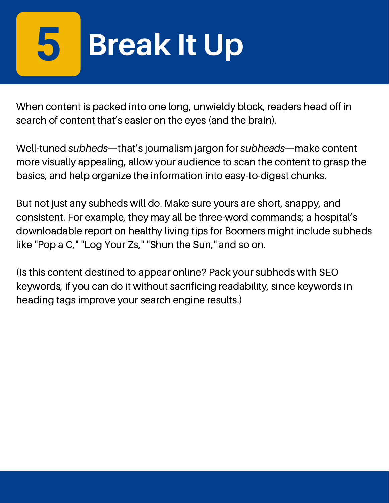# **Break It Up**

When content is packed into one long, unwieldy block, readers head off in search of content that's easier on the eyes (and the brain).

Well-tuned *subheds*—that's journalism jargon for *subheads*—make content more visually appealing, allow your audience to scan the content to grasp the basics, and help organize the information into easy-to-digest chunks.

But not just any subheds will do. Make sure yours are short, snappy, and consistent. For example, they may all be three-word commands; a hospital's downloadable report on healthy living tips for Boomers might include subheds like "Pop a C," "Log Your Zs," "Shun the Sun," and so on.

(Is this content destined to appear online? Pack your subheds with SEO keywords, if you can do it without sacrificing readability, since keywords in heading tags improve your search engine results.)